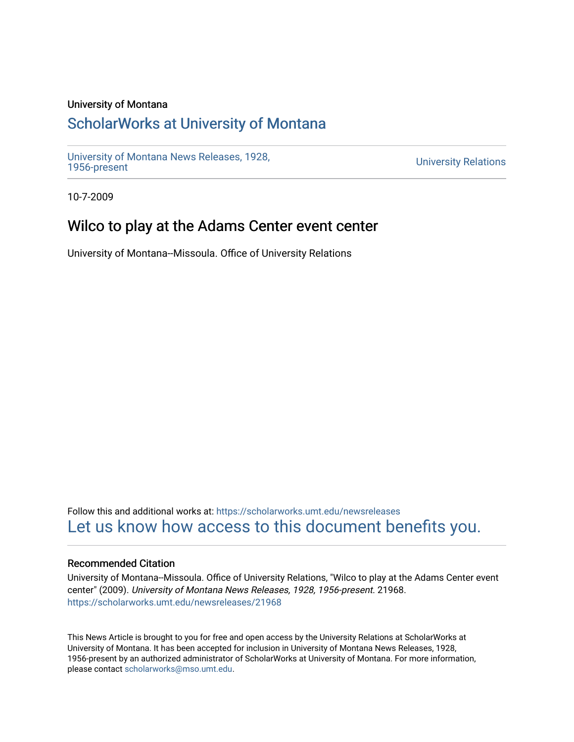## University of Montana

## [ScholarWorks at University of Montana](https://scholarworks.umt.edu/)

[University of Montana News Releases, 1928,](https://scholarworks.umt.edu/newsreleases) 

**University Relations** 

10-7-2009

## Wilco to play at the Adams Center event center

University of Montana--Missoula. Office of University Relations

Follow this and additional works at: [https://scholarworks.umt.edu/newsreleases](https://scholarworks.umt.edu/newsreleases?utm_source=scholarworks.umt.edu%2Fnewsreleases%2F21968&utm_medium=PDF&utm_campaign=PDFCoverPages) [Let us know how access to this document benefits you.](https://goo.gl/forms/s2rGfXOLzz71qgsB2) 

## Recommended Citation

University of Montana--Missoula. Office of University Relations, "Wilco to play at the Adams Center event center" (2009). University of Montana News Releases, 1928, 1956-present. 21968. [https://scholarworks.umt.edu/newsreleases/21968](https://scholarworks.umt.edu/newsreleases/21968?utm_source=scholarworks.umt.edu%2Fnewsreleases%2F21968&utm_medium=PDF&utm_campaign=PDFCoverPages) 

This News Article is brought to you for free and open access by the University Relations at ScholarWorks at University of Montana. It has been accepted for inclusion in University of Montana News Releases, 1928, 1956-present by an authorized administrator of ScholarWorks at University of Montana. For more information, please contact [scholarworks@mso.umt.edu.](mailto:scholarworks@mso.umt.edu)